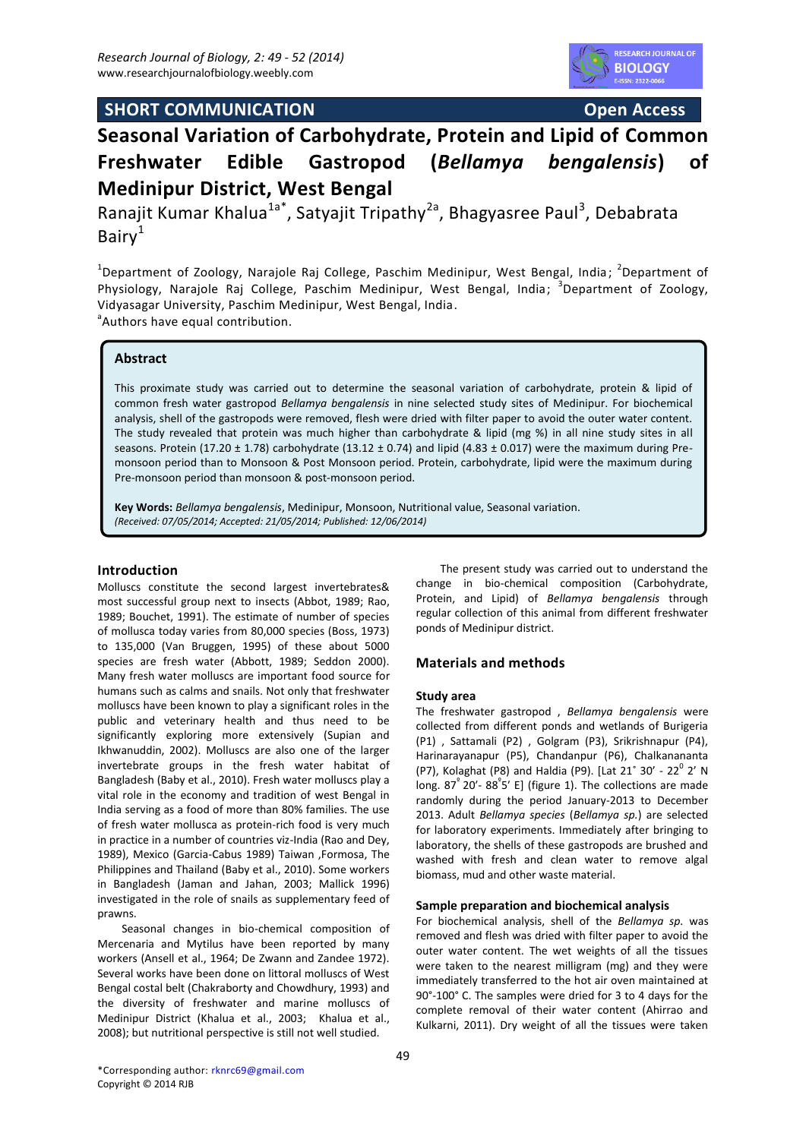



# **Seasonal Variation of Carbohydrate, Protein and Lipid of Common Freshwater Edible Gastropod (***Bellamya bengalensis***) of Medinipur District, West Bengal**

Ranajit Kumar Khalua<sup>1a\*</sup>, Satyajit Tripathy<sup>2a</sup>, Bhagyasree Paul<sup>3</sup>, Debabrata Bair $v^1$ 

<sup>1</sup>Department of Zoology, Narajole Raj College, Paschim Medinipur, West Bengal, India; <sup>2</sup>Department of Physiology, Narajole Raj College, Paschim Medinipur, West Bengal, India; <sup>3</sup>Department of Zoology, Vidyasagar University, Paschim Medinipur, West Bengal, India. <sup>a</sup> Authors have equal contribution.

**Abstract**

This proximate study was carried out to determine the seasonal variation of carbohydrate, protein & lipid of common fresh water gastropod *Bellamya bengalensis* in nine selected study sites of Medinipur. For biochemical analysis, shell of the gastropods were removed, flesh were dried with filter paper to avoid the outer water content. The study revealed that protein was much higher than carbohydrate & lipid (mg %) in all nine study sites in all seasons. Protein (17.20  $\pm$  1.78) carbohydrate (13.12  $\pm$  0.74) and lipid (4.83  $\pm$  0.017) were the maximum during Premonsoon period than to Monsoon & Post Monsoon period. Protein, carbohydrate, lipid were the maximum during Pre-monsoon period than monsoon & post-monsoon period.

**Key Words:** *Bellamya bengalensis*, Medinipur, Monsoon, Nutritional value, Seasonal variation. *(Received: 07/05/2014; Accepted: 21/05/2014; Published: 12/06/2014)* 

# **Introduction**

Molluscs constitute the second largest invertebrates& most successful group next to insects (Abbot, 1989; Rao, 1989; Bouchet, 1991). The estimate of number of species of mollusca today varies from 80,000 species (Boss, 1973) to 135,000 (Van Bruggen, 1995) of these about 5000 species are fresh water (Abbott, 1989; Seddon 2000). Many fresh water molluscs are important food source for humans such as calms and snails. Not only that freshwater molluscs have been known to play a significant roles in the public and veterinary health and thus need to be significantly exploring more extensively (Supian and Ikhwanuddin, 2002). Molluscs are also one of the larger invertebrate groups in the fresh water habitat of Bangladesh (Baby et al., 2010). Fresh water molluscs play a vital role in the economy and tradition of west Bengal in India serving as a food of more than 80% families. The use of fresh water mollusca as protein-rich food is very much in practice in a number of countries viz-India (Rao and Dey, 1989), Mexico (Garcia-Cabus 1989) Taiwan ,Formosa, The Philippines and Thailand (Baby et al., 2010). Some workers in Bangladesh (Jaman and Jahan, 2003; Mallick 1996) investigated in the role of snails as supplementary feed of prawns.

Seasonal changes in bio-chemical composition of Mercenaria and Mytilus have been reported by many workers (Ansell et al., 1964; De Zwann and Zandee 1972). Several works have been done on littoral molluscs of West Bengal costal belt (Chakraborty and Chowdhury, 1993) and the diversity of freshwater and marine molluscs of Medinipur District (Khalua et al., 2003; Khalua et al., 2008); but nutritional perspective is still not well studied.

The present study was carried out to understand the change in bio-chemical composition (Carbohydrate, Protein, and Lipid) of *Bellamya bengalensis* through regular collection of this animal from different freshwater ponds of Medinipur district.

# **Materials and methods**

## **Study area**

The freshwater gastropod , *Bellamya bengalensis* were collected from different ponds and wetlands of Burigeria (P1) , Sattamali (P2) , Golgram (P3), Srikrishnapur (P4), Harinarayanapur (P5), Chandanpur (P6), Chalkanananta (P7), Kolaghat (P8) and Haldia (P9). [Lat 21<sup>°</sup> 30' - 22<sup>0</sup> 2' N long.  $87^{\circ}$  20′-  $88^{\circ}5'$  E] (figure 1). The collections are made randomly during the period January-2013 to December 2013. Adult *Bellamya species* (*Bellamya sp.*) are selected for laboratory experiments. Immediately after bringing to laboratory, the shells of these gastropods are brushed and washed with fresh and clean water to remove algal biomass, mud and other waste material.

## **Sample preparation and biochemical analysis**

For biochemical analysis, shell of the *Bellamya sp.* was removed and flesh was dried with filter paper to avoid the outer water content. The wet weights of all the tissues were taken to the nearest milligram (mg) and they were immediately transferred to the hot air oven maintained at 90°-100° C. The samples were dried for 3 to 4 days for the complete removal of their water content (Ahirrao and Kulkarni, 2011). Dry weight of all the tissues were taken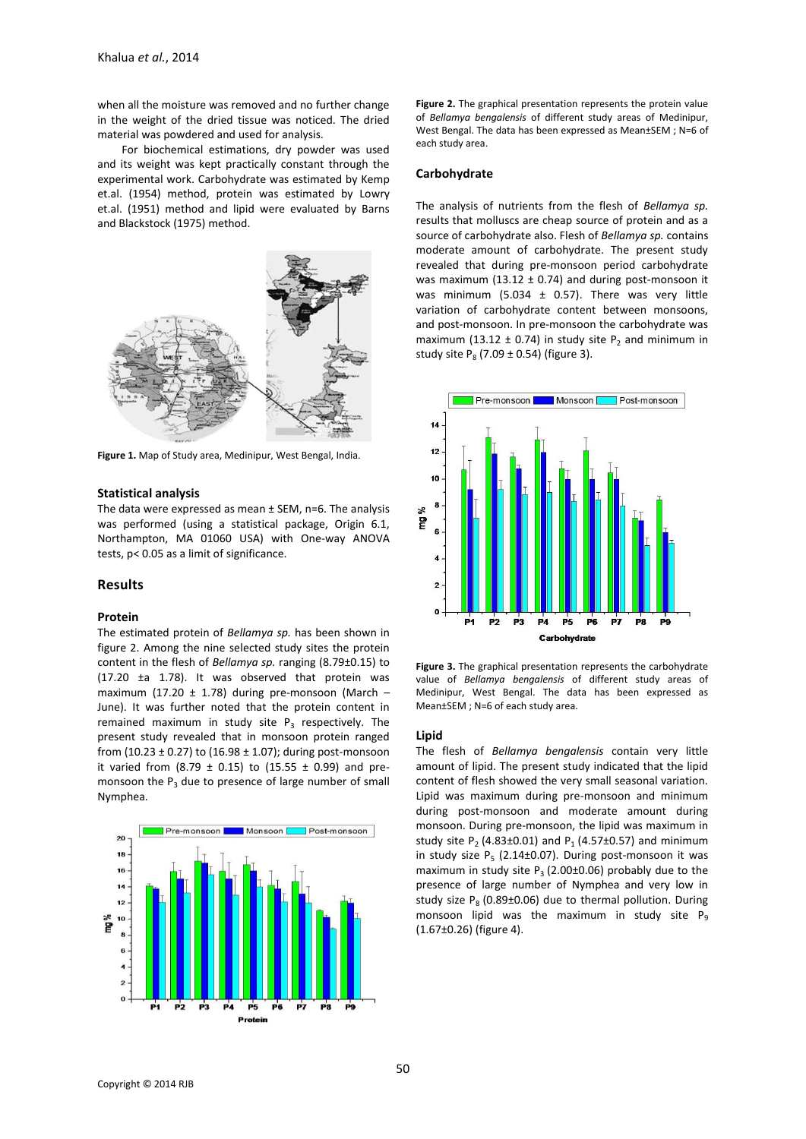when all the moisture was removed and no further change in the weight of the dried tissue was noticed. The dried material was powdered and used for analysis.

For biochemical estimations, dry powder was used and its weight was kept practically constant through the experimental work. Carbohydrate was estimated by Kemp et.al. (1954) method, protein was estimated by Lowry et.al. (1951) method and lipid were evaluated by Barns and Blackstock (1975) method.



**Figure 1.** Map of Study area, Medinipur, West Bengal, India.

## **Statistical analysis**

The data were expressed as mean  $\pm$  SEM, n=6. The analysis was performed (using a statistical package, Origin 6.1, Northampton, MA 01060 USA) with One-way ANOVA tests, p< 0.05 as a limit of significance.

## **Results**

#### **Protein**

The estimated protein of *Bellamya sp.* has been shown in figure 2. Among the nine selected study sites the protein content in the flesh of *Bellamya sp.* ranging (8.79±0.15) to (17.20 ±a 1.78). It was observed that protein was maximum (17.20  $\pm$  1.78) during pre-monsoon (March – June). It was further noted that the protein content in remained maximum in study site  $P_3$  respectively. The present study revealed that in monsoon protein ranged from (10.23  $\pm$  0.27) to (16.98  $\pm$  1.07); during post-monsoon it varied from (8.79  $\pm$  0.15) to (15.55  $\pm$  0.99) and premonsoon the  $P_3$  due to presence of large number of small Nymphea.



**Figure 2.** The graphical presentation represents the protein value of *Bellamya bengalensis* of different study areas of Medinipur, West Bengal. The data has been expressed as Mean±SEM ; N=6 of each study area.

#### **Carbohydrate**

The analysis of nutrients from the flesh of *Bellamya sp.* results that molluscs are cheap source of protein and as a source of carbohydrate also. Flesh of *Bellamya sp.* contains moderate amount of carbohydrate. The present study revealed that during pre-monsoon period carbohydrate was maximum (13.12  $\pm$  0.74) and during post-monsoon it was minimum (5.034  $\pm$  0.57). There was very little variation of carbohydrate content between monsoons, and post-monsoon. In pre-monsoon the carbohydrate was maximum (13.12  $\pm$  0.74) in study site P<sub>2</sub> and minimum in study site  $P_8$  (7.09  $\pm$  0.54) (figure 3).



**Figure 3.** The graphical presentation represents the carbohydrate value of *Bellamya bengalensis* of different study areas of Medinipur, West Bengal. The data has been expressed as Mean±SEM ; N=6 of each study area.

## **Lipid**

The flesh of *Bellamya bengalensis* contain very little amount of lipid. The present study indicated that the lipid content of flesh showed the very small seasonal variation. Lipid was maximum during pre-monsoon and minimum during post-monsoon and moderate amount during monsoon. During pre-monsoon, the lipid was maximum in study site  $P_2$  (4.83±0.01) and  $P_1$  (4.57±0.57) and minimum in study size  $P_5$  (2.14 $\pm$ 0.07). During post-monsoon it was maximum in study site  $P_3$  (2.00±0.06) probably due to the presence of large number of Nymphea and very low in study size  $P_8$  (0.89 $\pm$ 0.06) due to thermal pollution. During monsoon lipid was the maximum in study site  $P_q$ (1.67±0.26) (figure 4).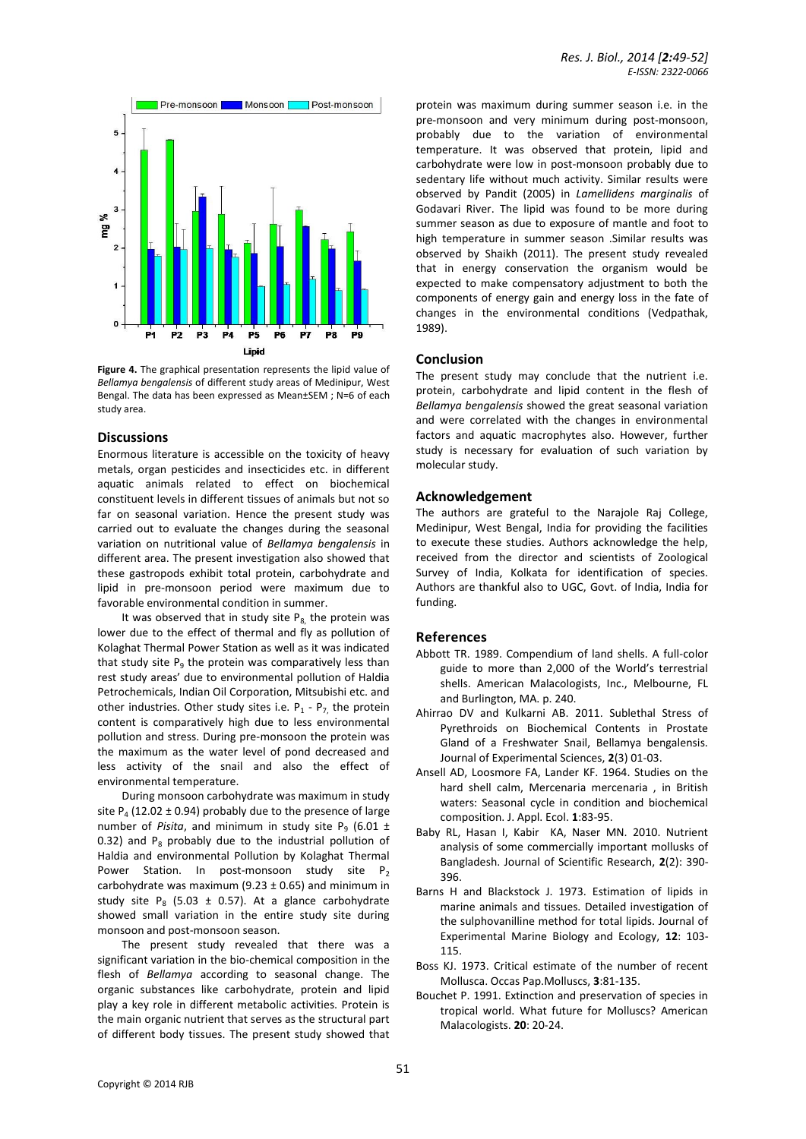

**Figure 4.** The graphical presentation represents the lipid value of *Bellamya bengalensis* of different study areas of Medinipur, West Bengal. The data has been expressed as Mean±SEM ; N=6 of each study area.

## **Discussions**

Enormous literature is accessible on the toxicity of heavy metals, organ pesticides and insecticides etc. in different aquatic animals related to effect on biochemical constituent levels in different tissues of animals but not so far on seasonal variation. Hence the present study was carried out to evaluate the changes during the seasonal variation on nutritional value of *Bellamya bengalensis* in different area. The present investigation also showed that these gastropods exhibit total protein, carbohydrate and lipid in pre-monsoon period were maximum due to favorable environmental condition in summer.

It was observed that in study site  $P_8$  the protein was lower due to the effect of thermal and fly as pollution of Kolaghat Thermal Power Station as well as it was indicated that study site  $P_9$  the protein was comparatively less than rest study areas' due to environmental pollution of Haldia Petrochemicals, Indian Oil Corporation, Mitsubishi etc. and other industries. Other study sites i.e.  $P_1$  -  $P_7$ , the protein content is comparatively high due to less environmental pollution and stress. During pre-monsoon the protein was the maximum as the water level of pond decreased and less activity of the snail and also the effect of environmental temperature.

During monsoon carbohydrate was maximum in study site  $P_4$  (12.02  $\pm$  0.94) probably due to the presence of large number of *Pisita*, and minimum in study site  $P_9$  (6.01  $\pm$ 0.32) and  $P_8$  probably due to the industrial pollution of Haldia and environmental Pollution by Kolaghat Thermal Power Station. In post-monsoon study site  $P_2$ carbohydrate was maximum (9.23  $\pm$  0.65) and minimum in study site  $P_8$  (5.03  $\pm$  0.57). At a glance carbohydrate showed small variation in the entire study site during monsoon and post-monsoon season.

The present study revealed that there was a significant variation in the bio-chemical composition in the flesh of *Bellamya* according to seasonal change. The organic substances like carbohydrate, protein and lipid play a key role in different metabolic activities. Protein is the main organic nutrient that serves as the structural part of different body tissues. The present study showed that

protein was maximum during summer season i.e. in the pre-monsoon and very minimum during post-monsoon, probably due to the variation of environmental temperature. It was observed that protein, lipid and carbohydrate were low in post-monsoon probably due to sedentary life without much activity. Similar results were observed by Pandit (2005) in *Lamellidens marginalis* of Godavari River. The lipid was found to be more during summer season as due to exposure of mantle and foot to high temperature in summer season .Similar results was observed by Shaikh (2011). The present study revealed that in energy conservation the organism would be expected to make compensatory adjustment to both the components of energy gain and energy loss in the fate of changes in the environmental conditions (Vedpathak, 1989).

## **Conclusion**

The present study may conclude that the nutrient i.e. protein, carbohydrate and lipid content in the flesh of *Bellamya bengalensis* showed the great seasonal variation and were correlated with the changes in environmental factors and aquatic macrophytes also. However, further study is necessary for evaluation of such variation by molecular study.

## **Acknowledgement**

The authors are grateful to the Narajole Raj College, Medinipur, West Bengal, India for providing the facilities to execute these studies. Authors acknowledge the help, received from the director and scientists of Zoological Survey of India, Kolkata for identification of species. Authors are thankful also to UGC, Govt. of India, India for funding.

## **References**

- Abbott TR. 1989. Compendium of land shells. A full-color guide to more than 2,000 of the World's terrestrial shells. American Malacologists, Inc., Melbourne, FL and Burlington, MA. p. 240.
- Ahirrao DV and Kulkarni AB. 2011. Sublethal Stress of Pyrethroids on Biochemical Contents in Prostate Gland of a Freshwater Snail, Bellamya bengalensis. Journal of Experimental Sciences, **2**(3) 01-03.
- Ansell AD, Loosmore FA, Lander KF. 1964. Studies on the hard shell calm, Mercenaria mercenaria , in British waters: Seasonal cycle in condition and biochemical composition. J. Appl. Ecol. **1**:83-95.
- Baby RL, Hasan I, Kabir KA, Naser MN. 2010. Nutrient analysis of some commercially important mollusks of Bangladesh. Journal of Scientific Research, **2**(2): 390- 396.
- Barns H and Blackstock J. 1973. Estimation of lipids in marine animals and tissues. Detailed investigation of the sulphovanilline method for total lipids. Journal of Experimental Marine Biology and Ecology, **12**: 103- 115.
- Boss KJ. 1973. Critical estimate of the number of recent Mollusca. Occas Pap.Molluscs, **3**:81-135.
- Bouchet P. 1991. Extinction and preservation of species in tropical world. What future for Molluscs? American Malacologists. **20**: 20-24.